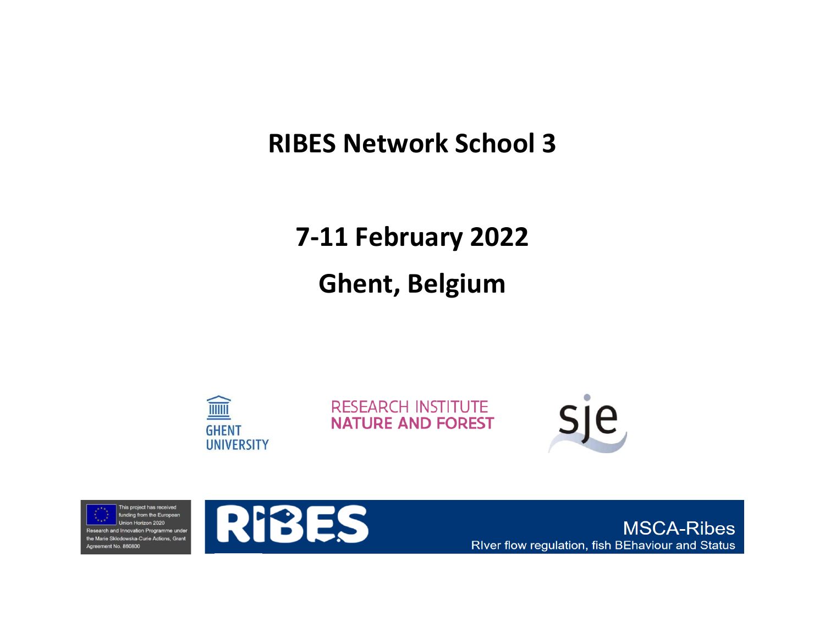### **RIBES Network School 3**

## **7-11 February 2022**

# **Ghent, Belgium**



**RESEARCH INSTITUTE NATURE AND FOREST** 







**MSCA-Ribes** RIver flow regulation, fish BEhaviour and Status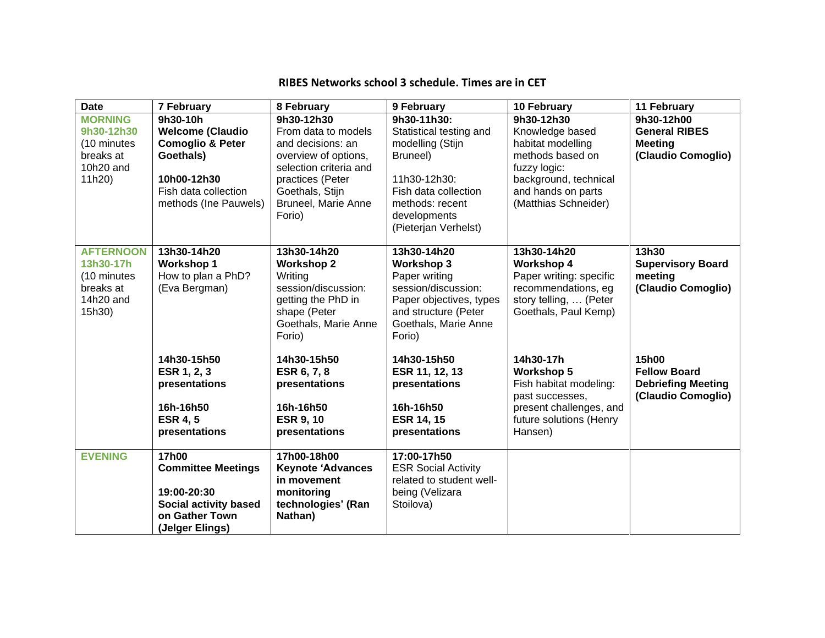| <b>Date</b>                                                                      | 7 February                                                                                                                                      | 8 February                                                                                                                                                                              | 9 February                                                                                                                                                                | 10 February                                                                                                                                                   | 11 February                                                                     |
|----------------------------------------------------------------------------------|-------------------------------------------------------------------------------------------------------------------------------------------------|-----------------------------------------------------------------------------------------------------------------------------------------------------------------------------------------|---------------------------------------------------------------------------------------------------------------------------------------------------------------------------|---------------------------------------------------------------------------------------------------------------------------------------------------------------|---------------------------------------------------------------------------------|
| <b>MORNING</b><br>9h30-12h30<br>(10 minutes<br>breaks at<br>10h20 and<br>11h20)  | 9h30-10h<br><b>Welcome (Claudio</b><br><b>Comoglio &amp; Peter</b><br>Goethals)<br>10h00-12h30<br>Fish data collection<br>methods (Ine Pauwels) | 9h30-12h30<br>From data to models<br>and decisions: an<br>overview of options,<br>selection criteria and<br>practices (Peter<br>Goethals, Stijn<br><b>Bruneel, Marie Anne</b><br>Forio) | 9h30-11h30:<br>Statistical testing and<br>modelling (Stijn<br>Bruneel)<br>11h30-12h30:<br>Fish data collection<br>methods: recent<br>developments<br>(Pieterjan Verhelst) | 9h30-12h30<br>Knowledge based<br>habitat modelling<br>methods based on<br>fuzzy logic:<br>background, technical<br>and hands on parts<br>(Matthias Schneider) | 9h30-12h00<br><b>General RIBES</b><br><b>Meeting</b><br>(Claudio Comoglio)      |
| <b>AFTERNOON</b><br>13h30-17h<br>(10 minutes<br>breaks at<br>14h20 and<br>15h30) | 13h30-14h20<br><b>Workshop 1</b><br>How to plan a PhD?<br>(Eva Bergman)                                                                         | 13h30-14h20<br><b>Workshop 2</b><br>Writing<br>session/discussion:<br>getting the PhD in<br>shape (Peter<br>Goethals, Marie Anne<br>Forio)                                              | 13h30-14h20<br><b>Workshop 3</b><br>Paper writing<br>session/discussion:<br>Paper objectives, types<br>and structure (Peter<br>Goethals, Marie Anne<br>Forio)             | 13h30-14h20<br><b>Workshop 4</b><br>Paper writing: specific<br>recommendations, eg<br>story telling,  (Peter<br>Goethals, Paul Kemp)                          | 13h30<br><b>Supervisory Board</b><br>meeting<br>(Claudio Comoglio)              |
|                                                                                  | 14h30-15h50<br>ESR 1, 2, 3<br>presentations<br>16h-16h50<br><b>ESR 4, 5</b><br>presentations                                                    | 14h30-15h50<br>ESR 6, 7, 8<br>presentations<br>16h-16h50<br><b>ESR 9, 10</b><br>presentations                                                                                           | 14h30-15h50<br>ESR 11, 12, 13<br>presentations<br>16h-16h50<br><b>ESR 14, 15</b><br>presentations                                                                         | 14h30-17h<br><b>Workshop 5</b><br>Fish habitat modeling:<br>past successes,<br>present challenges, and<br>future solutions (Henry<br>Hansen)                  | 15h00<br><b>Fellow Board</b><br><b>Debriefing Meeting</b><br>(Claudio Comoglio) |
| <b>EVENING</b>                                                                   | <b>17h00</b><br><b>Committee Meetings</b><br>19:00-20:30<br><b>Social activity based</b><br>on Gather Town<br>(Jelger Elings)                   | 17h00-18h00<br><b>Keynote 'Advances</b><br>in movement<br>monitoring<br>technologies' (Ran<br>Nathan)                                                                                   | 17:00-17h50<br><b>ESR Social Activity</b><br>related to student well-<br>being (Velizara<br>Stoilova)                                                                     |                                                                                                                                                               |                                                                                 |

#### **RIBES Networks school 3 schedule. Times are in CET**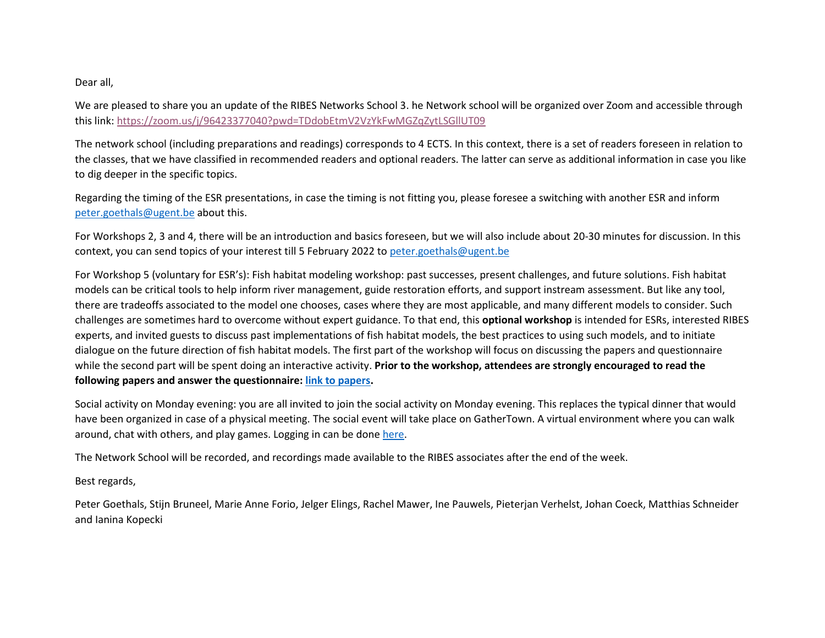Dear all,

We are pleased to share you an update of the RIBES Networks School 3. he Network school will be organized over Zoom and accessible through this link:<https://zoom.us/j/96423377040?pwd=TDdobEtmV2VzYkFwMGZqZytLSGllUT09>

The network school (including preparations and readings) corresponds to 4 ECTS. In this context, there is a set of readers foreseen in relation to the classes, that we have classified in recommended readers and optional readers. The latter can serve as additional information in case you like to dig deeper in the specific topics.

Regarding the timing of the ESR presentations, in case the timing is not fitting you, please foresee a switching with another ESR and inform [peter.goethals@ugent.be](mailto:peter.goethals@ugent.be) about this.

For Workshops 2, 3 and 4, there will be an introduction and basics foreseen, but we will also include about 20-30 minutes for discussion. In this context, you can send topics of your interest till 5 February 2022 to [peter.goethals@ugent.be](mailto:peter.goethals@ugent.be)

For Workshop 5 (voluntary for ESR's): Fish habitat modeling workshop: past successes, present challenges, and future solutions. Fish habitat models can be critical tools to help inform river management, guide restoration efforts, and support instream assessment. But like any tool, there are tradeoffs associated to the model one chooses, cases where they are most applicable, and many different models to consider. Such challenges are sometimes hard to overcome without expert guidance. To that end, this **optional workshop** is intended for ESRs, interested RIBES experts, and invited guests to discuss past implementations of fish habitat models, the best practices to using such models, and to initiate dialogue on the future direction of fish habitat models. The first part of the workshop will focus on discussing the papers and questionnaire while the second part will be spent doing an interactive activity. **Prior to the workshop, attendees are strongly encouraged to read the following papers and answer the questionnaire: [link to papers.](https://eur03.safelinks.protection.outlook.com/?url=https%3A%2F%2Fkau.box.com%2Fs%2F4pu8yqc0qx3bznchhaj8rypljvfqinh1&data=04%7C01%7CPeter.Goethals%40ugent.be%7C0df6fe3efdd743f57b6b08d9d9c470b2%7Cd7811cdeecef496c8f91a1786241b99c%7C1%7C0%7C637780259992586579%7CUnknown%7CTWFpbGZsb3d8eyJWIjoiMC4wLjAwMDAiLCJQIjoiV2luMzIiLCJBTiI6Ik1haWwiLCJXVCI6Mn0%3D%7C3000&sdata=jJ2IAAry3xaWrBAuZMiJOe1HdTnlrldDLKpeOnlZ1gM%3D&reserved=0)**

Social activity on Monday evening: you are all invited to join the social activity on Monday evening. This replaces the typical dinner that would have been organized in case of a physical meeting. The social event will take place on GatherTown. A virtual environment where you can walk around, chat with others, and play games. Logging in can be done [here.](https://gather.town/events/Qyd7KhAzfm8sULC9l0Gs)

The Network School will be recorded, and recordings made available to the RIBES associates after the end of the week.

Best regards,

Peter Goethals, Stijn Bruneel, Marie Anne Forio, Jelger Elings, Rachel Mawer, Ine Pauwels, Pieterjan Verhelst, Johan Coeck, Matthias Schneider and Ianina Kopecki